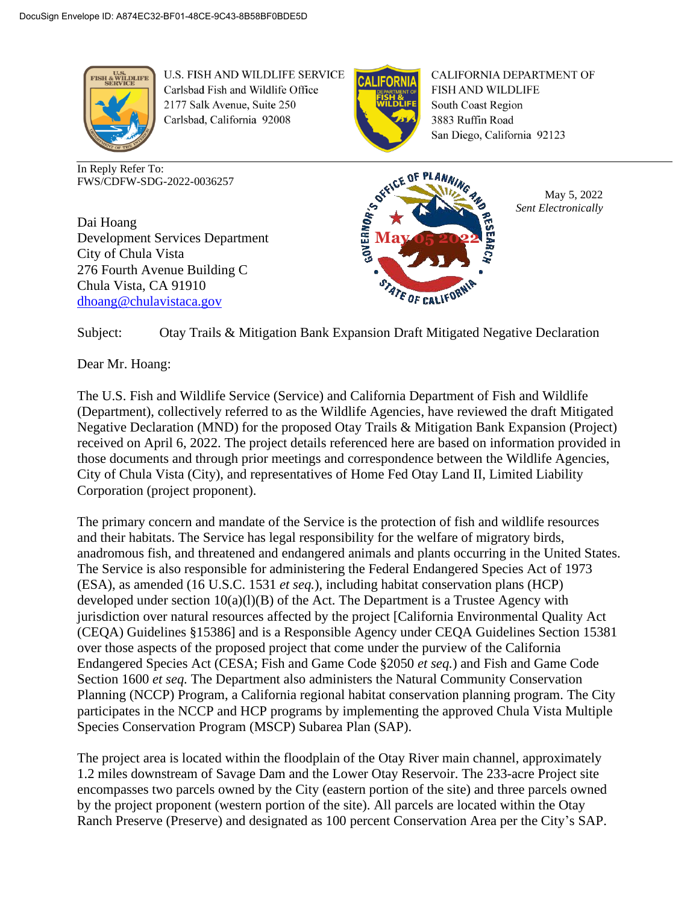

U.S. FISH AND WILDLIFE SERVICE Carlsbad Fish and Wildlife Office 2177 Salk Avenue, Suite 250 Carlsbad, California 92008

In Reply Refer To: FWS/CDFW-SDG-2022-0036257

Dai Hoang Development Services Department City of Chula Vista 276 Fourth Avenue Building C Chula Vista, CA 91910 [dhoang@chulavistaca.gov](mailto:cgoddard@chulavistaca.gov)



**CALIFORNIA DEPARTMENT OF** FISH AND WILDLIFE South Coast Region 3883 Ruffin Road San Diego, California 92123



May 5, 2022 *Sent Electronically*

Subject: Otay Trails & Mitigation Bank Expansion Draft Mitigated Negative Declaration

Dear Mr. Hoang:

The U.S. Fish and Wildlife Service (Service) and California Department of Fish and Wildlife (Department), collectively referred to as the Wildlife Agencies, have reviewed the draft Mitigated Negative Declaration (MND) for the proposed Otay Trails & Mitigation Bank Expansion (Project) received on April 6, 2022. The project details referenced here are based on information provided in those documents and through prior meetings and correspondence between the Wildlife Agencies, City of Chula Vista (City), and representatives of Home Fed Otay Land II, Limited Liability Corporation (project proponent).

The primary concern and mandate of the Service is the protection of fish and wildlife resources and their habitats. The Service has legal responsibility for the welfare of migratory birds, anadromous fish, and threatened and endangered animals and plants occurring in the United States. The Service is also responsible for administering the Federal Endangered Species Act of 1973 (ESA), as amended (16 U.S.C. 1531 *et seq.*), including habitat conservation plans (HCP) developed under section  $10(a)(1)(B)$  of the Act. The Department is a Trustee Agency with jurisdiction over natural resources affected by the project [California Environmental Quality Act (CEQA) Guidelines §15386] and is a Responsible Agency under CEQA Guidelines Section 15381 over those aspects of the proposed project that come under the purview of the California Endangered Species Act (CESA; Fish and Game Code §2050 *et seq.*) and Fish and Game Code Section 1600 *et seq.* The Department also administers the Natural Community Conservation Planning (NCCP) Program, a California regional habitat conservation planning program. The City participates in the NCCP and HCP programs by implementing the approved Chula Vista Multiple Species Conservation Program (MSCP) Subarea Plan (SAP).

The project area is located within the floodplain of the Otay River main channel, approximately 1.2 miles downstream of Savage Dam and the Lower Otay Reservoir. The 233-acre Project site encompasses two parcels owned by the City (eastern portion of the site) and three parcels owned by the project proponent (western portion of the site). All parcels are located within the Otay Ranch Preserve (Preserve) and designated as 100 percent Conservation Area per the City's SAP.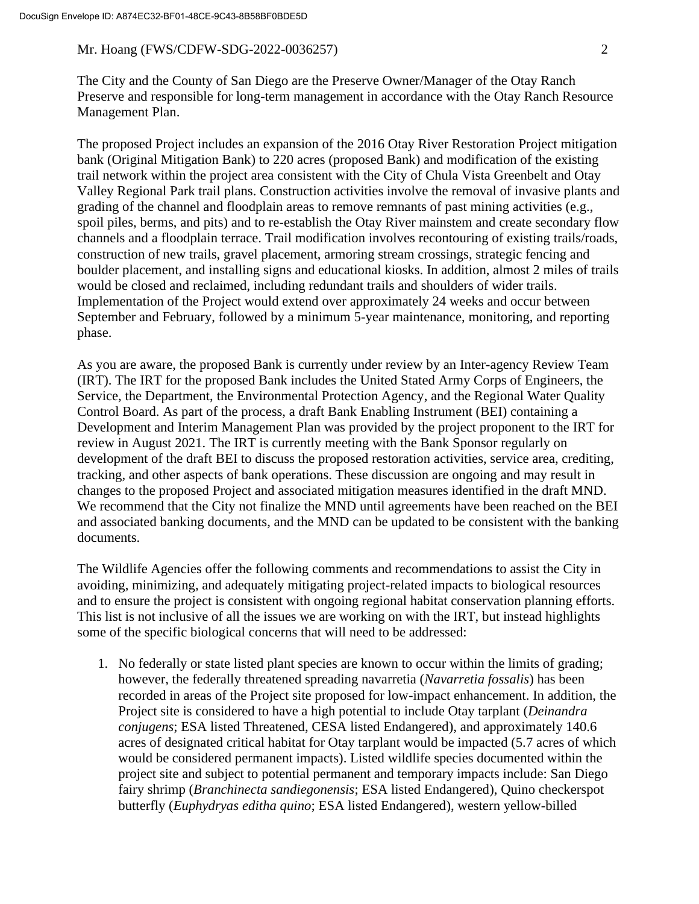The City and the County of San Diego are the Preserve Owner/Manager of the Otay Ranch Preserve and responsible for long-term management in accordance with the Otay Ranch Resource Management Plan.

The proposed Project includes an expansion of the 2016 Otay River Restoration Project mitigation bank (Original Mitigation Bank) to 220 acres (proposed Bank) and modification of the existing trail network within the project area consistent with the City of Chula Vista Greenbelt and Otay Valley Regional Park trail plans. Construction activities involve the removal of invasive plants and grading of the channel and floodplain areas to remove remnants of past mining activities (e.g., spoil piles, berms, and pits) and to re-establish the Otay River mainstem and create secondary flow channels and a floodplain terrace. Trail modification involves recontouring of existing trails/roads, construction of new trails, gravel placement, armoring stream crossings, strategic fencing and boulder placement, and installing signs and educational kiosks. In addition, almost 2 miles of trails would be closed and reclaimed, including redundant trails and shoulders of wider trails. Implementation of the Project would extend over approximately 24 weeks and occur between September and February, followed by a minimum 5-year maintenance, monitoring, and reporting phase.

As you are aware, the proposed Bank is currently under review by an Inter-agency Review Team (IRT). The IRT for the proposed Bank includes the United Stated Army Corps of Engineers, the Service, the Department, the Environmental Protection Agency, and the Regional Water Quality Control Board. As part of the process, a draft Bank Enabling Instrument (BEI) containing a Development and Interim Management Plan was provided by the project proponent to the IRT for review in August 2021. The IRT is currently meeting with the Bank Sponsor regularly on development of the draft BEI to discuss the proposed restoration activities, service area, crediting, tracking, and other aspects of bank operations. These discussion are ongoing and may result in changes to the proposed Project and associated mitigation measures identified in the draft MND. We recommend that the City not finalize the MND until agreements have been reached on the BEI and associated banking documents, and the MND can be updated to be consistent with the banking documents.

The Wildlife Agencies offer the following comments and recommendations to assist the City in avoiding, minimizing, and adequately mitigating project-related impacts to biological resources and to ensure the project is consistent with ongoing regional habitat conservation planning efforts. This list is not inclusive of all the issues we are working on with the IRT, but instead highlights some of the specific biological concerns that will need to be addressed:

1. No federally or state listed plant species are known to occur within the limits of grading; however, the federally threatened spreading navarretia (*Navarretia fossalis*) has been recorded in areas of the Project site proposed for low-impact enhancement. In addition, the Project site is considered to have a high potential to include Otay tarplant (*Deinandra conjugens*; ESA listed Threatened, CESA listed Endangered), and approximately 140.6 acres of designated critical habitat for Otay tarplant would be impacted (5.7 acres of which would be considered permanent impacts). Listed wildlife species documented within the project site and subject to potential permanent and temporary impacts include: San Diego fairy shrimp (*Branchinecta sandiegonensis*; ESA listed Endangered), Quino checkerspot butterfly (*Euphydryas editha quino*; ESA listed Endangered), western yellow-billed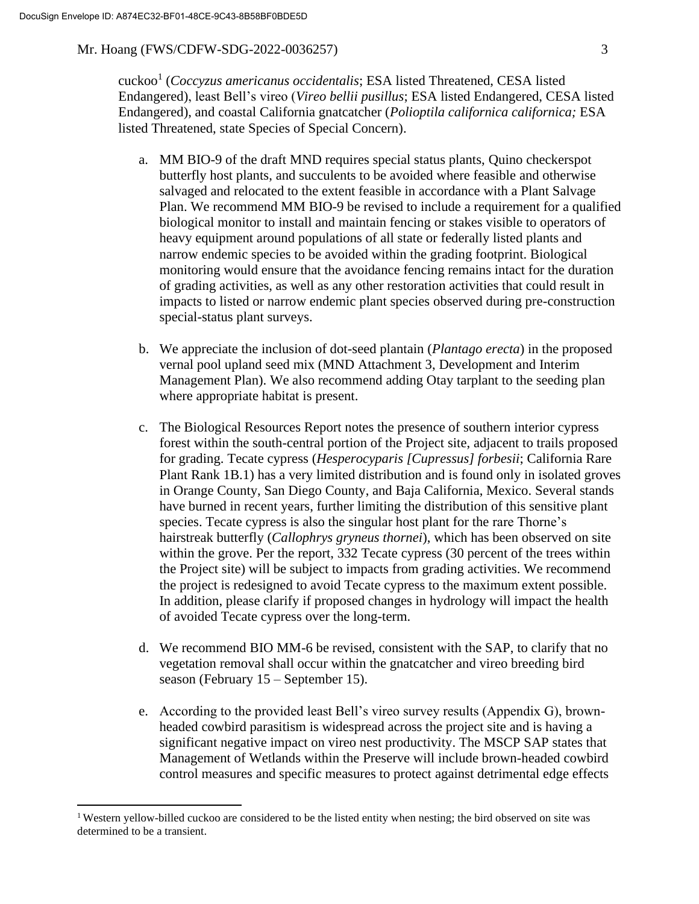cuckoo<sup>1</sup> (*Coccyzus americanus occidentalis*; ESA listed Threatened, CESA listed Endangered), least Bell's vireo (*Vireo bellii pusillus*; ESA listed Endangered, CESA listed Endangered), and coastal California gnatcatcher (*Polioptila californica californica;* ESA listed Threatened, state Species of Special Concern).

- a. MM BIO-9 of the draft MND requires special status plants, Quino checkerspot butterfly host plants, and succulents to be avoided where feasible and otherwise salvaged and relocated to the extent feasible in accordance with a Plant Salvage Plan. We recommend MM BIO-9 be revised to include a requirement for a qualified biological monitor to install and maintain fencing or stakes visible to operators of heavy equipment around populations of all state or federally listed plants and narrow endemic species to be avoided within the grading footprint. Biological monitoring would ensure that the avoidance fencing remains intact for the duration of grading activities, as well as any other restoration activities that could result in impacts to listed or narrow endemic plant species observed during pre-construction special-status plant surveys.
- b. We appreciate the inclusion of dot-seed plantain (*Plantago erecta*) in the proposed vernal pool upland seed mix (MND Attachment 3, Development and Interim Management Plan). We also recommend adding Otay tarplant to the seeding plan where appropriate habitat is present.
- c. The Biological Resources Report notes the presence of southern interior cypress forest within the south-central portion of the Project site, adjacent to trails proposed for grading. Tecate cypress (*Hesperocyparis [Cupressus] forbesii*; California Rare Plant Rank 1B.1) has a very limited distribution and is found only in isolated groves in Orange County, San Diego County, and Baja California, Mexico. Several stands have burned in recent years, further limiting the distribution of this sensitive plant species. Tecate cypress is also the singular host plant for the rare Thorne's hairstreak butterfly (*Callophrys gryneus thornei*), which has been observed on site within the grove. Per the report, 332 Tecate cypress (30 percent of the trees within the Project site) will be subject to impacts from grading activities. We recommend the project is redesigned to avoid Tecate cypress to the maximum extent possible. In addition, please clarify if proposed changes in hydrology will impact the health of avoided Tecate cypress over the long-term.
- d. We recommend BIO MM-6 be revised, consistent with the SAP, to clarify that no vegetation removal shall occur within the gnatcatcher and vireo breeding bird season (February 15 – September 15).
- e. According to the provided least Bell's vireo survey results (Appendix G), brownheaded cowbird parasitism is widespread across the project site and is having a significant negative impact on vireo nest productivity. The MSCP SAP states that Management of Wetlands within the Preserve will include brown-headed cowbird control measures and specific measures to protect against detrimental edge effects

<sup>&</sup>lt;sup>1</sup> Western yellow-billed cuckoo are considered to be the listed entity when nesting; the bird observed on site was determined to be a transient.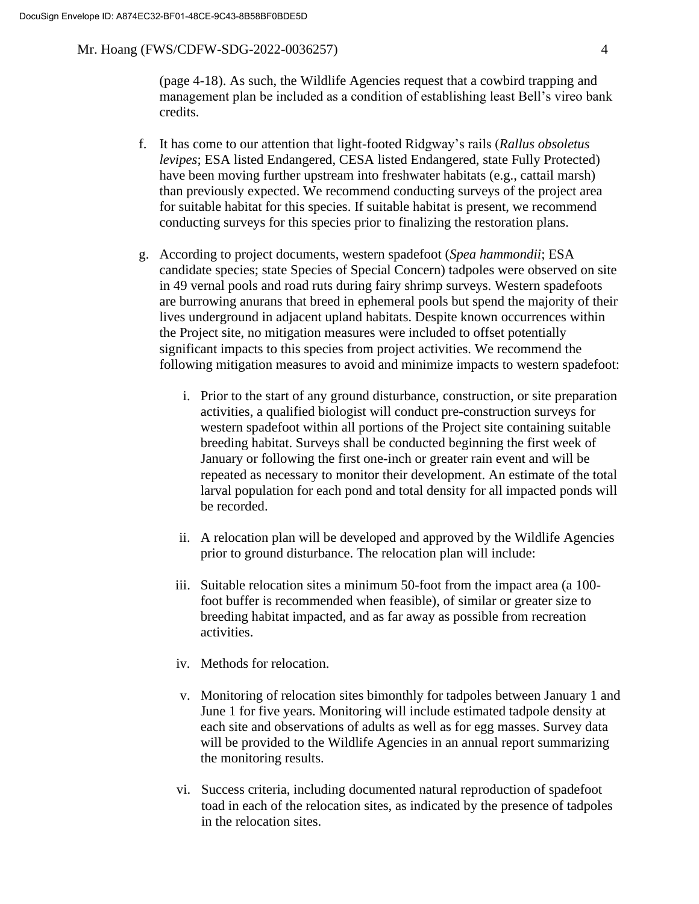(page 4-18). As such, the Wildlife Agencies request that a cowbird trapping and management plan be included as a condition of establishing least Bell's vireo bank credits.

- f. It has come to our attention that light-footed Ridgway's rails (*Rallus obsoletus levipes*; ESA listed Endangered, CESA listed Endangered, state Fully Protected) have been moving further upstream into freshwater habitats (e.g., cattail marsh) than previously expected. We recommend conducting surveys of the project area for suitable habitat for this species. If suitable habitat is present, we recommend conducting surveys for this species prior to finalizing the restoration plans.
- g. According to project documents, western spadefoot (*Spea hammondii*; ESA candidate species; state Species of Special Concern) tadpoles were observed on site in 49 vernal pools and road ruts during fairy shrimp surveys. Western spadefoots are burrowing anurans that breed in ephemeral pools but spend the majority of their lives underground in adjacent upland habitats. Despite known occurrences within the Project site, no mitigation measures were included to offset potentially significant impacts to this species from project activities. We recommend the following mitigation measures to avoid and minimize impacts to western spadefoot:
	- i. Prior to the start of any ground disturbance, construction, or site preparation activities, a qualified biologist will conduct pre-construction surveys for western spadefoot within all portions of the Project site containing suitable breeding habitat. Surveys shall be conducted beginning the first week of January or following the first one-inch or greater rain event and will be repeated as necessary to monitor their development. An estimate of the total larval population for each pond and total density for all impacted ponds will be recorded.
	- ii. A relocation plan will be developed and approved by the Wildlife Agencies prior to ground disturbance. The relocation plan will include:
	- iii. Suitable relocation sites a minimum 50-foot from the impact area (a 100 foot buffer is recommended when feasible), of similar or greater size to breeding habitat impacted, and as far away as possible from recreation activities.
	- iv. Methods for relocation.
	- v. Monitoring of relocation sites bimonthly for tadpoles between January 1 and June 1 for five years. Monitoring will include estimated tadpole density at each site and observations of adults as well as for egg masses. Survey data will be provided to the Wildlife Agencies in an annual report summarizing the monitoring results.
	- vi. Success criteria, including documented natural reproduction of spadefoot toad in each of the relocation sites, as indicated by the presence of tadpoles in the relocation sites.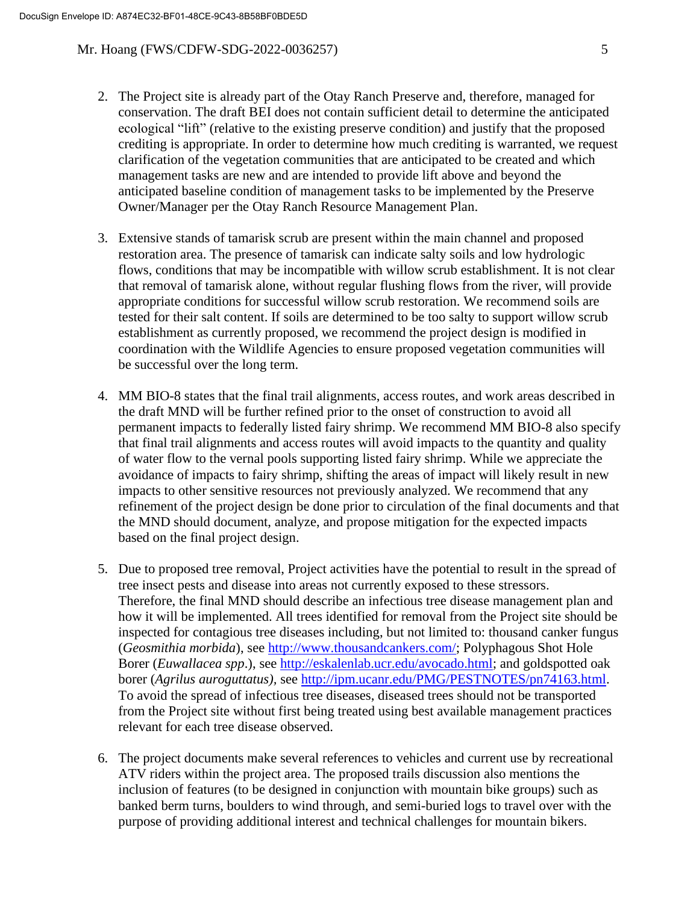- 2. The Project site is already part of the Otay Ranch Preserve and, therefore, managed for conservation. The draft BEI does not contain sufficient detail to determine the anticipated ecological "lift" (relative to the existing preserve condition) and justify that the proposed crediting is appropriate. In order to determine how much crediting is warranted, we request clarification of the vegetation communities that are anticipated to be created and which management tasks are new and are intended to provide lift above and beyond the anticipated baseline condition of management tasks to be implemented by the Preserve Owner/Manager per the Otay Ranch Resource Management Plan.
- 3. Extensive stands of tamarisk scrub are present within the main channel and proposed restoration area. The presence of tamarisk can indicate salty soils and low hydrologic flows, conditions that may be incompatible with willow scrub establishment. It is not clear that removal of tamarisk alone, without regular flushing flows from the river, will provide appropriate conditions for successful willow scrub restoration. We recommend soils are tested for their salt content. If soils are determined to be too salty to support willow scrub establishment as currently proposed, we recommend the project design is modified in coordination with the Wildlife Agencies to ensure proposed vegetation communities will be successful over the long term.
- 4. MM BIO-8 states that the final trail alignments, access routes, and work areas described in the draft MND will be further refined prior to the onset of construction to avoid all permanent impacts to federally listed fairy shrimp. We recommend MM BIO-8 also specify that final trail alignments and access routes will avoid impacts to the quantity and quality of water flow to the vernal pools supporting listed fairy shrimp. While we appreciate the avoidance of impacts to fairy shrimp, shifting the areas of impact will likely result in new impacts to other sensitive resources not previously analyzed. We recommend that any refinement of the project design be done prior to circulation of the final documents and that the MND should document, analyze, and propose mitigation for the expected impacts based on the final project design.
- 5. Due to proposed tree removal, Project activities have the potential to result in the spread of tree insect pests and disease into areas not currently exposed to these stressors. Therefore, the final MND should describe an infectious tree disease management plan and how it will be implemented. All trees identified for removal from the Project site should be inspected for contagious tree diseases including, but not limited to: thousand canker fungus (*Geosmithia morbida*), see [http://www.thousandcankers.com/;](http://www.thousandcankers.com/) Polyphagous Shot Hole Borer (*Euwallacea spp*.), see [http://eskalenlab.ucr.edu/avocado.html;](http://eskalenlab.ucr.edu/avocado.html) and goldspotted oak borer (*Agrilus auroguttatus),* see [http://ipm.ucanr.edu/PMG/PESTNOTES/pn74163.html.](http://ipm.ucanr.edu/PMG/PESTNOTES/pn74163.html) To avoid the spread of infectious tree diseases, diseased trees should not be transported from the Project site without first being treated using best available management practices relevant for each tree disease observed.
- 6. The project documents make several references to vehicles and current use by recreational ATV riders within the project area. The proposed trails discussion also mentions the inclusion of features (to be designed in conjunction with mountain bike groups) such as banked berm turns, boulders to wind through, and semi-buried logs to travel over with the purpose of providing additional interest and technical challenges for mountain bikers.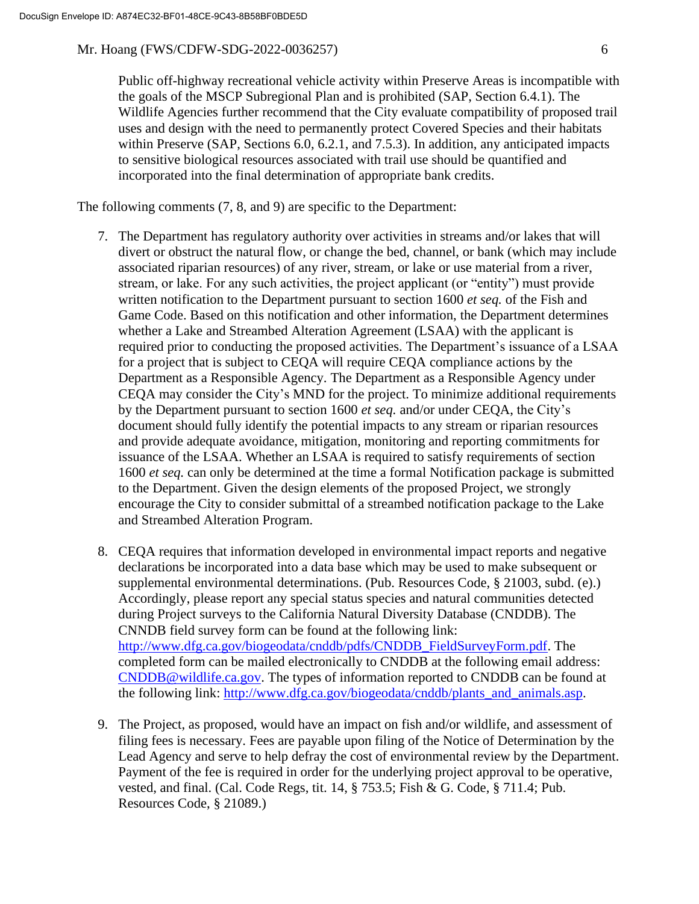Public off-highway recreational vehicle activity within Preserve Areas is incompatible with the goals of the MSCP Subregional Plan and is prohibited (SAP, Section 6.4.1). The Wildlife Agencies further recommend that the City evaluate compatibility of proposed trail uses and design with the need to permanently protect Covered Species and their habitats within Preserve (SAP, Sections 6.0, 6.2.1, and 7.5.3). In addition, any anticipated impacts to sensitive biological resources associated with trail use should be quantified and incorporated into the final determination of appropriate bank credits.

The following comments (7, 8, and 9) are specific to the Department:

- 7. The Department has regulatory authority over activities in streams and/or lakes that will divert or obstruct the natural flow, or change the bed, channel, or bank (which may include associated riparian resources) of any river, stream, or lake or use material from a river, stream, or lake. For any such activities, the project applicant (or "entity") must provide written notification to the Department pursuant to section 1600 *et seq.* of the Fish and Game Code. Based on this notification and other information, the Department determines whether a Lake and Streambed Alteration Agreement (LSAA) with the applicant is required prior to conducting the proposed activities. The Department's issuance of a LSAA for a project that is subject to CEQA will require CEQA compliance actions by the Department as a Responsible Agency. The Department as a Responsible Agency under CEQA may consider the City's MND for the project. To minimize additional requirements by the Department pursuant to section 1600 *et seq.* and/or under CEQA, the City's document should fully identify the potential impacts to any stream or riparian resources and provide adequate avoidance, mitigation, monitoring and reporting commitments for issuance of the LSAA. Whether an LSAA is required to satisfy requirements of section 1600 *et seq.* can only be determined at the time a formal Notification package is submitted to the Department. Given the design elements of the proposed Project, we strongly encourage the City to consider submittal of a streambed notification package to the Lake and Streambed Alteration Program.
- 8. CEQA requires that information developed in environmental impact reports and negative declarations be incorporated into a data base which may be used to make subsequent or supplemental environmental determinations. (Pub. Resources Code, § 21003, subd. (e).) Accordingly, please report any special status species and natural communities detected during Project surveys to the California Natural Diversity Database (CNDDB). The CNNDB field survey form can be found at the following link: [http://www.dfg.ca.gov/biogeodata/cnddb/pdfs/CNDDB\\_FieldSurveyForm.pdf.](http://www.dfg.ca.gov/biogeodata/cnddb/pdfs/CNDDB_FieldSurveyForm.pdf) The completed form can be mailed electronically to CNDDB at the following email address: [CNDDB@wildlife.ca.gov.](mailto:cnddb@dfg.ca.gov) The types of information reported to CNDDB can be found at the following link: http://www.dfg.ca.gov/biogeodata/cnddb/plants and animals.asp.
- 9. The Project, as proposed, would have an impact on fish and/or wildlife, and assessment of filing fees is necessary. Fees are payable upon filing of the Notice of Determination by the Lead Agency and serve to help defray the cost of environmental review by the Department. Payment of the fee is required in order for the underlying project approval to be operative, vested, and final. (Cal. Code Regs, tit. 14, § 753.5; Fish & G. Code, § 711.4; Pub. Resources Code, § 21089.)